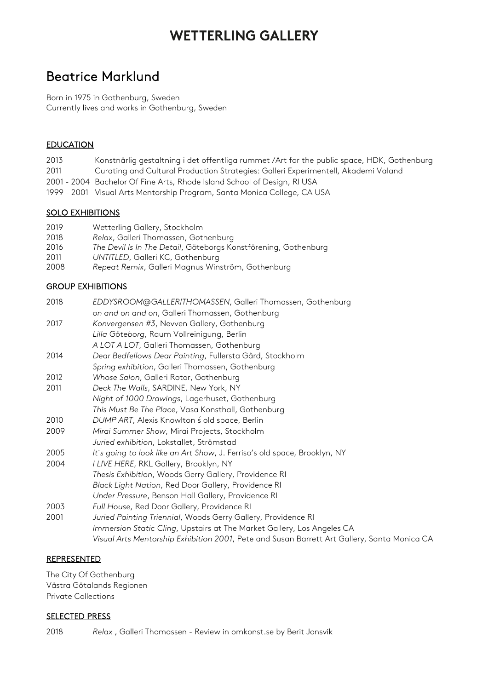# **WETTERLING GALLERY**

### Beatrice Marklund

Born in 1975 in Gothenburg, Sweden Currently lives and works in Gothenburg, Sweden

### EDUCATION

- 2013 Konstnärlig gestaltning i det offentliga rummet /Art for the public space, HDK, Gothenburg
- 2011 Curating and Cultural Production Strategies: Galleri Experimentell, Akademi Valand
- 2001 2004 Bachelor Of Fine Arts, Rhode Island School of Design, RI USA
- 1999 2001 Visual Arts Mentorship Program, Santa Monica College, CA USA

### SOLO EXHIBITIONS

- 2019 Wetterling Gallery, Stockholm
- 2018 *Relax*, Galleri Thomassen, Gothenburg
- 2016 *The Devil Is In The Detail*, Göteborgs Konstförening, Gothenburg
- 2011 *UNTITLED*, Galleri KC, Gothenburg
- 2008 *Repeat Remix*, Galleri Magnus Winström, Gothenburg

### GROUP EXHIBITIONS

| 2018 | EDDYSROOM@GALLERITHOMASSEN, Galleri Thomassen, Gothenburg                                   |
|------|---------------------------------------------------------------------------------------------|
|      | on and on and on, Galleri Thomassen, Gothenburg                                             |
| 2017 | Konvergensen #3, Nevven Gallery, Gothenburg                                                 |
|      | Lilla Göteborg, Raum Vollreinigung, Berlin                                                  |
|      | A LOT A LOT, Galleri Thomassen, Gothenburg                                                  |
| 2014 | Dear Bedfellows Dear Painting, Fullersta Gård, Stockholm                                    |
|      | Spring exhibition, Galleri Thomassen, Gothenburg                                            |
| 2012 | Whose Salon, Galleri Rotor, Gothenburg                                                      |
| 2011 | Deck The Walls, SARDINE, New York, NY                                                       |
|      | Night of 1000 Drawings, Lagerhuset, Gothenburg                                              |
|      | This Must Be The Place, Vasa Konsthall, Gothenburg                                          |
| 2010 | DUMP ART, Alexis Knowlton s old space, Berlin                                               |
| 2009 | Mirai Summer Show, Mirai Projects, Stockholm                                                |
|      | Juried exhibition, Lokstallet, Strömstad                                                    |
| 2005 | It's going to look like an Art Show, J. Ferriso's old space, Brooklyn, NY                   |
| 2004 | I LIVE HERE, RKL Gallery, Brooklyn, NY                                                      |
|      | Thesis Exhibition, Woods Gerry Gallery, Providence RI                                       |
|      | Black Light Nation, Red Door Gallery, Providence RI                                         |
|      | Under Pressure, Benson Hall Gallery, Providence RI                                          |
| 2003 | Full House, Red Door Gallery, Providence RI                                                 |
| 2001 | Juried Painting Triennial, Woods Gerry Gallery, Providence RI                               |
|      | Immersion Static Cling, Upstairs at The Market Gallery, Los Angeles CA                      |
|      | Visual Arts Mentorship Exhibition 2001, Pete and Susan Barrett Art Gallery, Santa Monica CA |
|      |                                                                                             |

#### REPRESENTED

The City Of Gothenburg Västra Götalands Regionen Private Collections

#### SELECTED PRESS

2018 *Relax* , Galleri Thomassen - Review in [omkonst.se](http://omkonst.se/) by Berit Jonsvik